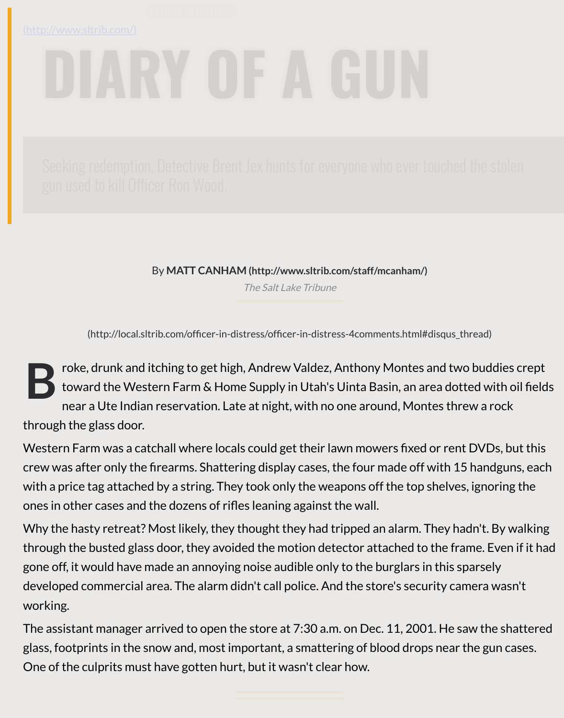By **MATT CANHAM (http://www.sltrib.com/staff/mcanham/)**

The Salt Lake Tribune

(http://local.sltrib.com/officer-in-distress/officer-in-distress-4comments.html#disqus\_th

**B** roke, drunk and itching to get high, Andrew Valdez, Anthony Montes and two toward the Wester[n Farm & Home Supply in Utah's Uinta Basin, an ar](http://www.sltrib.com/staff/mcanham/)ea dott near a Ute Indian reservation. Lat[e at night, with no](https://www.sltrib.com/) one around, Montes thre through the glass door.

Western Farm was a catchall where locals could get their lawn mowers fixed or rent crew was after only the firearms. Shattering display cases, the four made off with 15 with a price tag attached by a string. They took only the weapons off the top shelves, ones in other cases and the dozens of rifles leaning against the wall.

Why the hasty retreat? Most likely, they thought they had tripped an alarm. They had through the busted glass door, they avoided the motion detector attached to the frame. gone off, it would have made an annoying noise audible only to the burglars in this sp developed commercial area. The alarm didn't call police. And the store's security cam working.

The assistant manager arrived to open the store at 7:30 a.m. on Dec. 11, 2001. He same glass, footprints in the snow and, most important, a smattering of blood drops near the One of the culprits must have gotten hurt, but it wasn't clear how.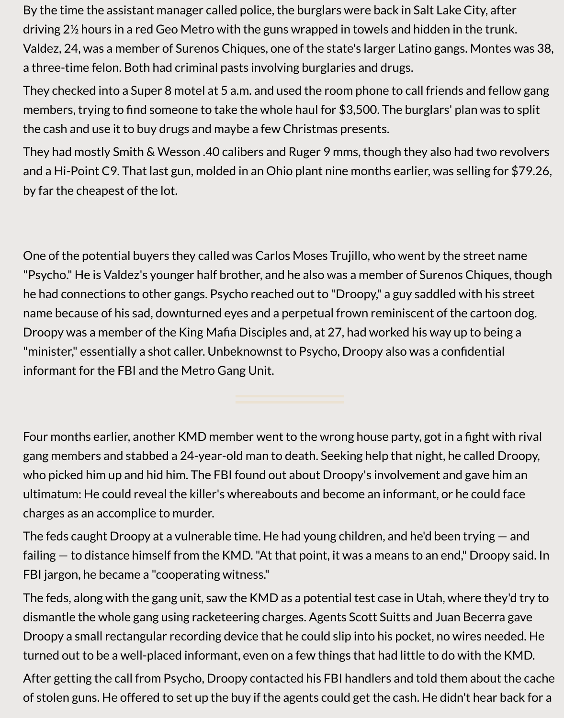By the time the assistant manager called police, the burglars were back in Salt Lake City, after driving 2½ hours in a red Geo Metro with the guns wrapped in towels and hidden in the trunk. Valdez, 24, was a member of Surenos Chiques, one of the state's larger Latino gangs. Montes was 38, a three-time felon. Both had criminal pasts involving burglaries and drugs.

They checked into a Super 8 motel at 5 a.m. and used the room phone to call friends and fellow gang members, trying to find someone to take the whole haul for \$3,500. The burglars' plan was to split the cash and use it to buy drugs and maybe a few Christmas presents.

They had mostly Smith & Wesson .40 calibers and Ruger 9 mms, though they also had two revolvers and a Hi-Point C9. That last gun, molded in an Ohio plant nine months earlier, was selling for \$79.26, by far the cheapest of the lot.

One of the potential buyers they called was Carlos Moses Trujillo, who went by the street name "Psycho." He is Valdez's younger half brother, and he also was a member of Surenos Chiques, though he had connections to other gangs. Psycho reached out to "Droopy," a guy saddled with his street name because of his sad, downturned eyes and a perpetual frown reminiscent of the cartoon dog. Droopy was a member of the King Mafia Disciples and, at 27, had worked his way up to being a "minister," essentially a shot caller. Unbeknownst to Psycho, Droopy also was a confidential informant for the FBI and the Metro Gang Unit.

Four months earlier, another KMD member went to the wrong house party, got in a fight with rival gang members and stabbed a 24-year-old man to death. Seeking help that night, he called Droopy, who picked him up and hid him. The FBI found out about Droopy's involvement and gave him an ultimatum: He could reveal the killer's whereabouts and become an informant, or he could face charges as an accomplice to murder.

The feds caught Droopy at a vulnerable time. He had young children, and he'd been trying — and failing — to distance himself from the KMD. "At that point, it was a means to an end," Droopy said. In FBI jargon, he became a "cooperating witness."

The feds, along with the gang unit, saw the KMD as a potential test case in Utah, where they'd try to dismantle the whole gang using racketeering charges. Agents Scott Suitts and Juan Becerra gave Droopy a small rectangular recording device that he could slip into his pocket, no wires needed. He turned out to be a well-placed informant, even on a few things that had little to do with the KMD.

After getting the call from Psycho, Droopy contacted his FBI handlers and told them about the cache of stolen guns. He offered to set up the buy if the agents could get the cash. He didn't hear back for a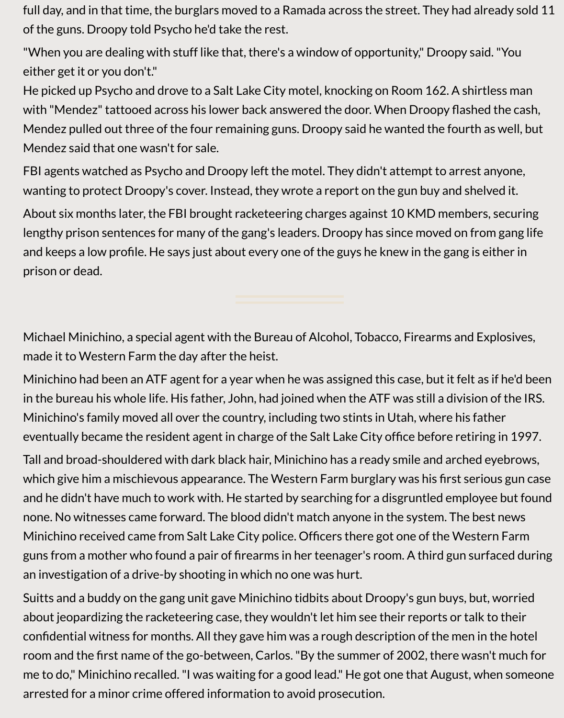full day, and in that time, the burglars moved to a Ramada across the street. They had already sold 11 of the guns. Droopy told Psycho he'd take the rest.

"When you are dealing with stuff like that, there's a window of opportunity," Droopy said. "You either get it or you don't."

He picked up Psycho and drove to a Salt Lake City motel, knocking on Room 162. A shirtless man with "Mendez" tattooed across his lower back answered the door. When Droopy flashed the cash, Mendez pulled out three of the four remaining guns. Droopy said he wanted the fourth as well, but Mendez said that one wasn't for sale.

FBI agents watched as Psycho and Droopy left the motel. They didn't attempt to arrest anyone, wanting to protect Droopy's cover. Instead, they wrote a report on the gun buy and shelved it.

About six months later, the FBI brought racketeering charges against 10 KMD members, securing lengthy prison sentences for many of the gang's leaders. Droopy has since moved on from gang life and keeps a low profile. He says just about every one of the guys he knew in the gang is either in prison or dead.

Michael Minichino, a special agent with the Bureau of Alcohol, Tobacco, Firearms and Explosives, made it to Western Farm the day after the heist.

Minichino had been an ATF agent for a year when he was assigned this case, but it felt as if he'd been in the bureau his whole life. His father, John, had joined when the ATF was still a division of the IRS. Minichino's family moved all over the country, including two stints in Utah, where his father eventually became the resident agent in charge of the Salt Lake City office before retiring in 1997.

Tall and broad-shouldered with dark black hair, Minichino has a ready smile and arched eyebrows, which give him a mischievous appearance. The Western Farm burglary was his first serious gun case and he didn't have much to work with. He started by searching for a disgruntled employee but found none. No witnesses came forward. The blood didn't match anyone in the system. The best news Minichino received came from Salt Lake City police. Officers there got one of the Western Farm guns from a mother who found a pair of firearms in her teenager's room. A third gun surfaced during an investigation of a drive-by shooting in which no one was hurt.

Suitts and a buddy on the gang unit gave Minichino tidbits about Droopy's gun buys, but, worried about jeopardizing the racketeering case, they wouldn't let him see their reports or talk to their confidential witness for months. All they gave him was a rough description of the men in the hotel room and the first name of the go-between, Carlos. "By the summer of 2002, there wasn't much for me to do," Minichino recalled. "I was waiting for a good lead." He got one that August, when someone arrested for a minor crime offered information to avoid prosecution.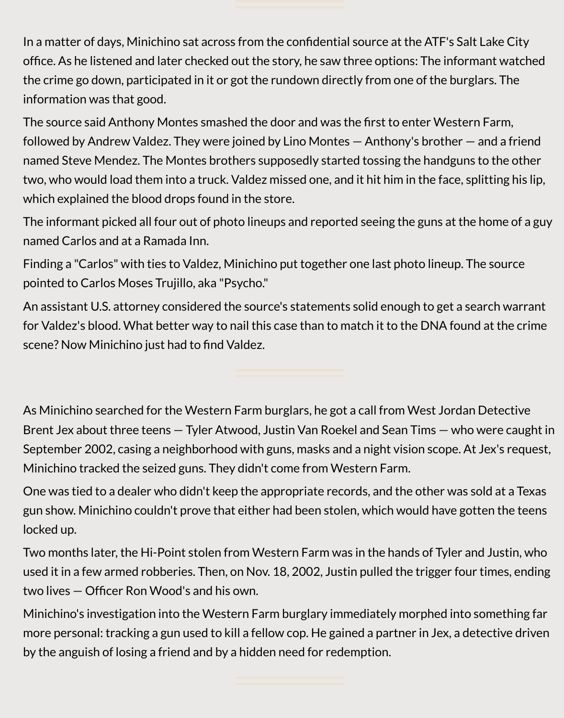

In a matter of days, Minichino sat across from the confidential source at the ATF's Salt Lake City office. As he listened and later checked out the story, he saw three options: The informant watched the crime go down, participated in it or got the rundown directly from one of the burglars. The information was that good.

The source said Anthony Montes smashed the door and was the first to enter Western Farm, followed by Andrew Valdez. They were joined by Lino Montes — Anthony's brother — and a friend named Steve Mendez. The Montes brothers supposedly started tossing the handguns to the other two, who would load them into a truck. Valdez missed one, and it hit him in the face, splitting his lip, which explained the blood drops found in the store.

The informant picked all four out of photo lineups and reported seeing the guns at the home of a guy named Carlos and at a Ramada Inn.

Finding a "Carlos" with ties to Valdez, Minichino put together one last photo lineup. The source pointed to Carlos Moses Trujillo, aka "Psycho."

An assistant U.S. attorney considered the source's statements solid enough to get a search warrant for Valdez's blood. What better way to nail this case than to match it to the DNA found at the crime scene? Now Minichino just had to find Valdez.

As Minichino searched for the Western Farm burglars, he got a call from West Jordan Detective Brent Jex about three teens — Tyler Atwood, Justin Van Roekel and Sean Tims — who were caught in September 2002, casing a neighborhood with guns, masks and a night vision scope. At Jex's request, Minichino tracked the seized guns. They didn't come from Western Farm.

One was tied to a dealer who didn't keep the appropriate records, and the other was sold at a Texas gun show. Minichino couldn't prove that either had been stolen, which would have gotten the teens locked up.

Two months later, the Hi-Point stolen from Western Farm was in the hands of Tyler and Justin, who used it in a few armed robberies. Then, on Nov. 18, 2002, Justin pulled the trigger four times, ending two lives — Officer Ron Wood's and his own.

Minichino's investigation into the Western Farm burglary immediately morphed into something far more personal: tracking a gun used to kill a fellow cop. He gained a partner in Jex, a detective driven by the anguish of losing a friend and by a hidden need for redemption.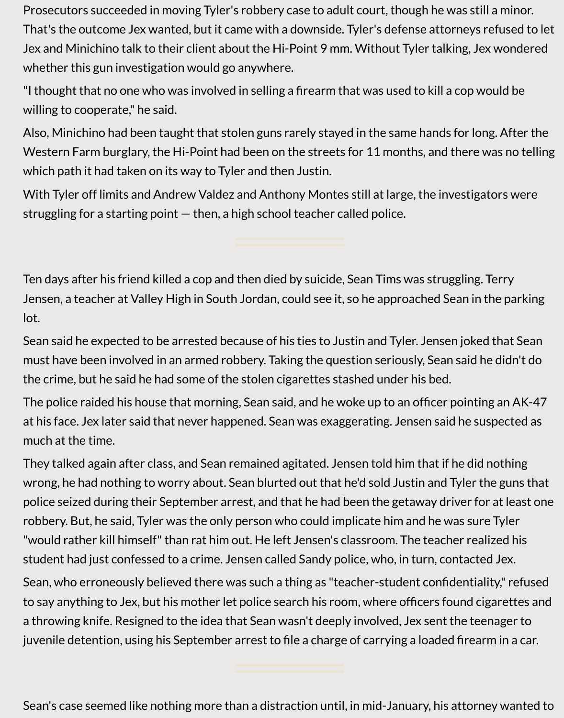Prosecutors succeeded in moving Tyler's robbery case to adult court, though he was still a minor. That's the outcome Jex wanted, but it came with a downside. Tyler's defense attorneys refused to let Jex and Minichino talk to their client about the Hi-Point 9 mm. Without Tyler talking, Jex wondered whether this gun investigation would go anywhere.

"I thought that no one who was involved in selling a firearm that was used to kill a cop would be willing to cooperate," he said.

Also, Minichino had been taught that stolen guns rarely stayed in the same hands for long. After the Western Farm burglary, the Hi-Point had been on the streets for 11 months, and there was no telling which path it had taken on its way to Tyler and then Justin.

With Tyler off limits and Andrew Valdez and Anthony Montes still at large, the investigators were struggling for a starting point — then, a high school teacher called police.

Ten days after his friend killed a cop and then died by suicide, Sean Tims was struggling. Terry Jensen, a teacher at Valley High in South Jordan, could see it, so he approached Sean in the parking lot.

Sean said he expected to be arrested because of his ties to Justin and Tyler. Jensen joked that Sean must have been involved in an armed robbery. Taking the question seriously, Sean said he didn't do the crime, but he said he had some of the stolen cigarettes stashed under his bed.

The police raided his house that morning, Sean said, and he woke up to an officer pointing an AK-47 at his face. Jex later said that never happened. Sean was exaggerating. Jensen said he suspected as much at the time.

They talked again after class, and Sean remained agitated. Jensen told him that if he did nothing wrong, he had nothing to worry about. Sean blurted out that he'd sold Justin and Tyler the guns that police seized during their September arrest, and that he had been the getaway driver for at least one robbery. But, he said, Tyler was the only person who could implicate him and he was sure Tyler "would rather kill himself" than rat him out. He left Jensen's classroom. The teacher realized his student had just confessed to a crime. Jensen called Sandy police, who, in turn, contacted Jex.

Sean, who erroneously believed there was such a thing as "teacher-student confidentiality," refused to say anything to Jex, but his mother let police search his room, where officers found cigarettes and a throwing knife. Resigned to the idea that Sean wasn't deeply involved, Jex sent the teenager to juvenile detention, using his September arrest to file a charge of carrying a loaded firearm in a car.

Sean's case seemed like nothing more than a distraction until, in mid-January, his attorney wanted to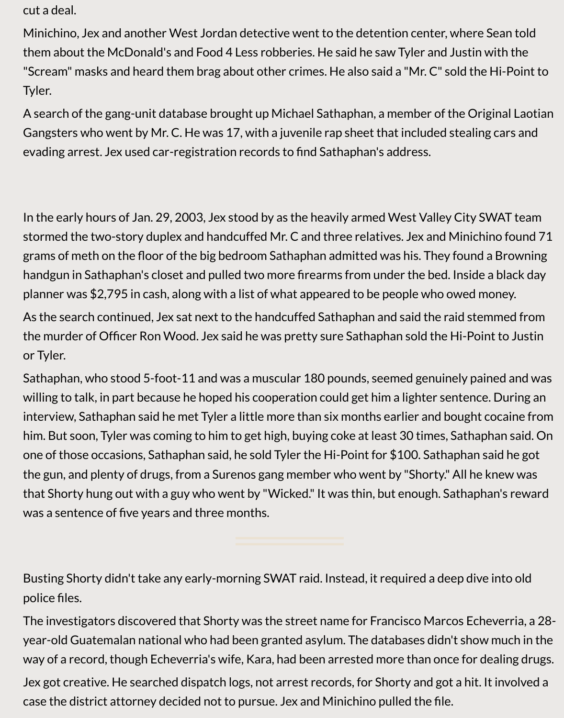cut a deal.

Minichino, Jex and another West Jordan detective went to the detention center, where Sean told them about the McDonald's and Food 4 Less robberies. He said he saw Tyler and Justin with the "Scream" masks and heard them brag about other crimes. He also said a "Mr. C" sold the Hi-Point to Tyler.

A search of the gang-unit database brought up Michael Sathaphan, a member of the Original Laotian Gangsters who went by Mr. C. He was 17, with a juvenile rap sheet that included stealing cars and evading arrest. Jex used car-registration records to find Sathaphan's address.

In the early hours of Jan. 29, 2003, Jex stood by as the heavily armed West Valley City SWAT team stormed the two-story duplex and handcuffed Mr. C and three relatives. Jex and Minichino found 71 grams of meth on the floor of the big bedroom Sathaphan admitted was his. They found a Browning handgun in Sathaphan's closet and pulled two more firearms from under the bed. Inside a black day planner was \$2,795 in cash, along with a list of what appeared to be people who owed money.

As the search continued, Jex sat next to the handcuffed Sathaphan and said the raid stemmed from the murder of Officer Ron Wood. Jex said he was pretty sure Sathaphan sold the Hi-Point to Justin or Tyler.

Sathaphan, who stood 5-foot-11 and was a muscular 180 pounds, seemed genuinely pained and was willing to talk, in part because he hoped his cooperation could get him a lighter sentence. During an interview, Sathaphan said he met Tyler a little more than six months earlier and bought cocaine from him. But soon, Tyler was coming to him to get high, buying coke at least 30 times, Sathaphan said. On one of those occasions, Sathaphan said, he sold Tyler the Hi-Point for \$100. Sathaphan said he got the gun, and plenty of drugs, from a Surenos gang member who went by "Shorty." All he knew was that Shorty hung out with a guy who went by "Wicked." It was thin, but enough. Sathaphan's reward was a sentence of five years and three months.

Busting Shorty didn't take any early-morning SWAT raid. Instead, it required a deep dive into old police files.

The investigators discovered that Shorty was the street name for Francisco Marcos Echeverria, a 28 year-old Guatemalan national who had been granted asylum. The databases didn't show much in the way of a record, though Echeverria's wife, Kara, had been arrested more than once for dealing drugs. Jex got creative. He searched dispatch logs, not arrest records, for Shorty and got a hit. It involved a case the district attorney decided not to pursue. Jex and Minichino pulled the file.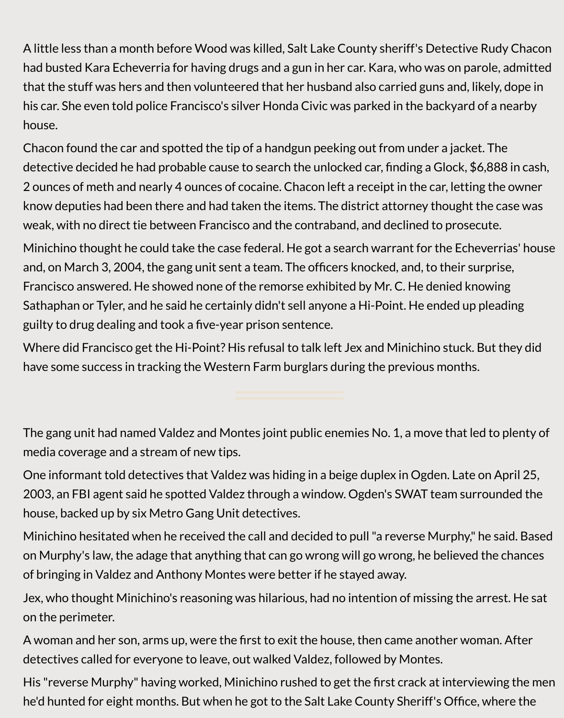A little less than a month before Wood was killed, Salt Lake County sheriff's Detective Rudy Chacon had busted Kara Echeverria for having drugs and a gun in her car. Kara, who was on parole, admitted that the stuff was hers and then volunteered that her husband also carried guns and, likely, dope in his car. She even told police Francisco's silver Honda Civic was parked in the backyard of a nearby house.

Chacon found the car and spotted the tip of a handgun peeking out from under a jacket. The detective decided he had probable cause to search the unlocked car, finding a Glock, \$6,888 in cash, 2 ounces of meth and nearly 4 ounces of cocaine. Chacon left a receipt in the car, letting the owner know deputies had been there and had taken the items. The district attorney thought the case was weak, with no direct tie between Francisco and the contraband, and declined to prosecute.

Minichino thought he could take the case federal. He got a search warrant for the Echeverrias' house and, on March 3, 2004, the gang unit sent a team. The officers knocked, and, to their surprise, Francisco answered. He showed none of the remorse exhibited by Mr. C. He denied knowing Sathaphan or Tyler, and he said he certainly didn't sell anyone a Hi-Point. He ended up pleading guilty to drug dealing and took a five-year prison sentence.

Where did Francisco get the Hi-Point? His refusal to talk left Jex and Minichino stuck. But they did have some success in tracking the Western Farm burglars during the previous months.

The gang unit had named Valdez and Montes joint public enemies No. 1, a move that led to plenty of media coverage and a stream of new tips.

One informant told detectives that Valdez was hiding in a beige duplex in Ogden. Late on April 25, 2003, an FBI agent said he spotted Valdez through a window. Ogden's SWAT team surrounded the house, backed up by six Metro Gang Unit detectives.

Minichino hesitated when he received the call and decided to pull "a reverse Murphy," he said. Based on Murphy's law, the adage that anything that can go wrong will go wrong, he believed the chances of bringing in Valdez and Anthony Montes were better if he stayed away.

Jex, who thought Minichino's reasoning was hilarious, had no intention of missing the arrest. He sat on the perimeter.

A woman and her son, arms up, were the first to exit the house, then came another woman. After detectives called for everyone to leave, out walked Valdez, followed by Montes.

His "reverse Murphy" having worked, Minichino rushed to get the first crack at interviewing the men he'd hunted for eight months. But when he got to the Salt Lake County Sheriff's Office, where the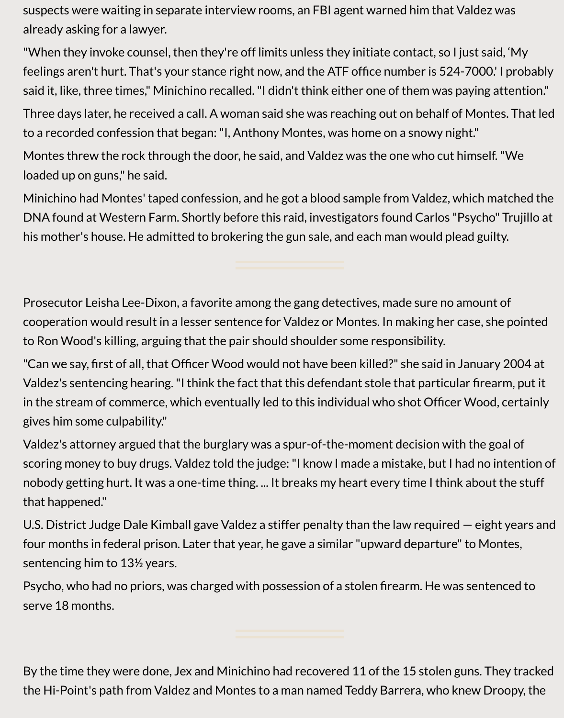suspects were waiting in separate interview rooms, an FBI agent warned him that Valdez was already asking for a lawyer.

"When they invoke counsel, then they're off limits unless they initiate contact, so I just said, 'My feelings aren't hurt. That's your stance right now, and the ATF office number is 524-7000.' I probably said it, like, three times," Minichino recalled. "I didn't think either one of them was paying attention."

Three days later, he received a call. A woman said she was reaching out on behalf of Montes. That led to a recorded confession that began: "I, Anthony Montes, was home on a snowy night."

Montes threw the rock through the door, he said, and Valdez was the one who cut himself. "We loaded up on guns," he said.

Minichino had Montes' taped confession, and he got a blood sample from Valdez, which matched the DNA found at Western Farm. Shortly before this raid, investigators found Carlos "Psycho" Trujillo at his mother's house. He admitted to brokering the gun sale, and each man would plead guilty.

Prosecutor Leisha Lee-Dixon, a favorite among the gang detectives, made sure no amount of cooperation would result in a lesser sentence for Valdez or Montes. In making her case, she pointed to Ron Wood's killing, arguing that the pair should shoulder some responsibility.

"Can we say, first of all, that Officer Wood would not have been killed?" she said in January 2004 at Valdez's sentencing hearing. "I think the fact that this defendant stole that particular firearm, put it in the stream of commerce, which eventually led to this individual who shot Officer Wood, certainly gives him some culpability."

Valdez's attorney argued that the burglary was a spur-of-the-moment decision with the goal of scoring money to buy drugs. Valdez told the judge: "I know I made a mistake, but I had no intention of nobody getting hurt. It was a one-time thing. ... It breaks my heart every time I think about the stuff that happened."

U.S. District Judge Dale Kimball gave Valdez a stiffer penalty than the law required — eight years and four months in federal prison. Later that year, he gave a similar "upward departure" to Montes, sentencing him to 13½ years.

Psycho, who had no priors, was charged with possession of a stolen firearm. He was sentenced to serve 18 months.

By the time they were done, Jex and Minichino had recovered 11 of the 15 stolen guns. They tracked the Hi-Point's path from Valdez and Montes to a man named Teddy Barrera, who knew Droopy, the